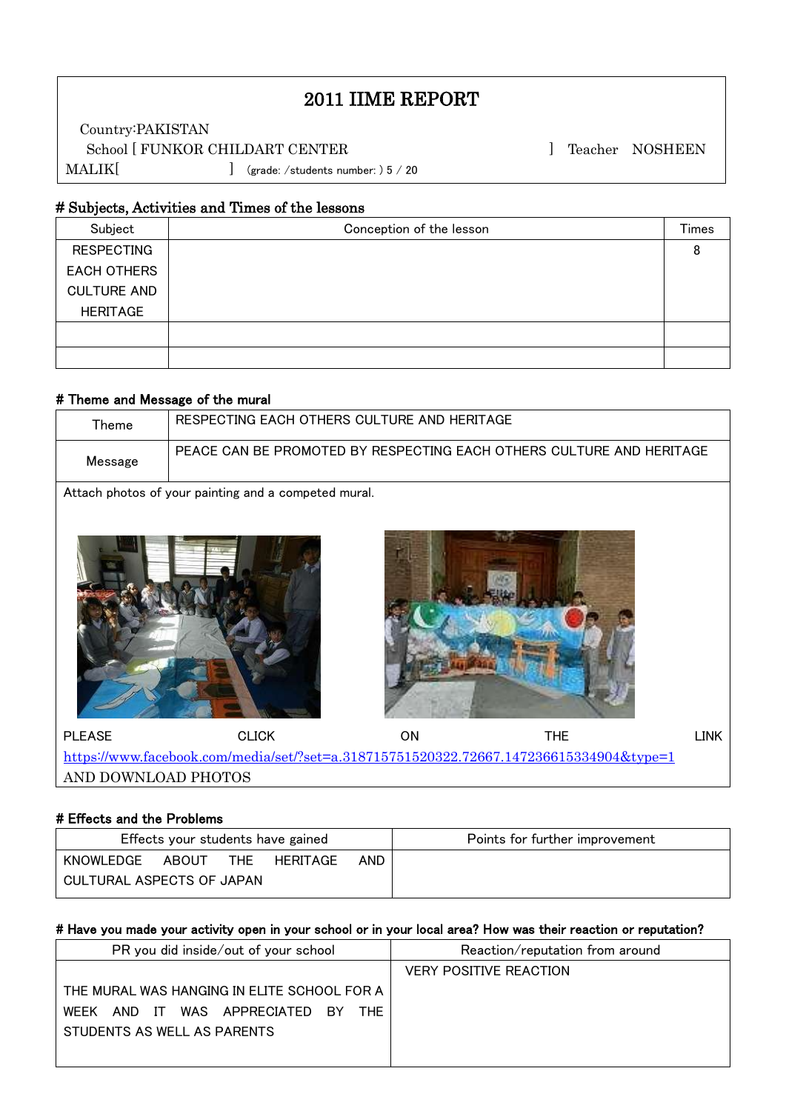# 2011 IIME REPORT

Country:PAKISTAN School [ FUNKOR CHILDART CENTER ] Teacher NOSHEEN MALIK[ ] (grade: /students number: ) 5 / 20

### # Subjects, Activities and Times of the lessons

| Subject            | Conception of the lesson | Times |
|--------------------|--------------------------|-------|
| <b>RESPECTING</b>  |                          |       |
| <b>EACH OTHERS</b> |                          |       |
| <b>CULTURE AND</b> |                          |       |
| <b>HERITAGE</b>    |                          |       |
|                    |                          |       |
|                    |                          |       |

## # Theme and Message of the mural

 $\mathsf I$  $\mathsf I$  $\mathsf I$ 

 $\mathsf I$ L

| Theme                                                                                  | RESPECTING EACH OTHERS CULTURE AND HERITAGE                          |    |            |             |  |  |
|----------------------------------------------------------------------------------------|----------------------------------------------------------------------|----|------------|-------------|--|--|
| Message                                                                                | PEACE CAN BE PROMOTED BY RESPECTING EACH OTHERS CULTURE AND HERITAGE |    |            |             |  |  |
| Attach photos of your painting and a competed mural.                                   |                                                                      |    |            |             |  |  |
|                                                                                        |                                                                      |    |            |             |  |  |
| <b>PLEASE</b>                                                                          | <b>CLICK</b>                                                         | ON | <b>THE</b> | <b>LINK</b> |  |  |
| https://www.facebook.com/media/set/?set=a.318715751520322.72667.147236615334904&type=1 |                                                                      |    |            |             |  |  |
| AND DOWNLOAD PHOTOS                                                                    |                                                                      |    |            |             |  |  |

### # Effects and the Problems

| Effects your students have gained |       |     |          | Points for further improvement |  |
|-----------------------------------|-------|-----|----------|--------------------------------|--|
| KNOWLEDGE                         | ABOUT | THE | HERITAGE | AND.                           |  |
| CULTURAL ASPECTS OF JAPAN         |       |     |          |                                |  |

#### # Have you made your activity open in your school or in your local area? How was their reaction or reputation?

| PR you did inside/out of your school                                                            | Reaction/reputation from around |
|-------------------------------------------------------------------------------------------------|---------------------------------|
|                                                                                                 | <b>VERY POSITIVE REACTION</b>   |
| THE MURAL WAS HANGING IN ELITE SCHOOL FOR A<br>AND IT WAS APPRECIATED BY<br>THE.<br><b>WEEK</b> |                                 |
| STUDENTS AS WELL AS PARENTS                                                                     |                                 |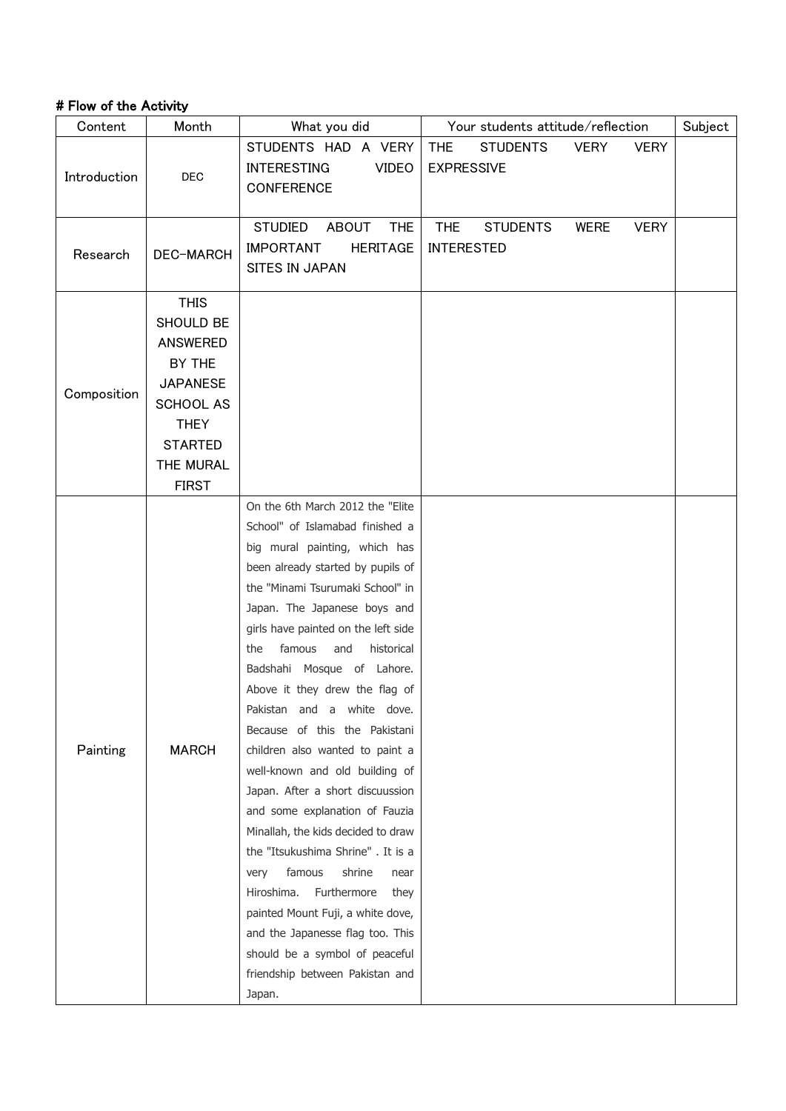## # Flow of the Activity

| Content      | Month                         | What you did                                                  | Your students attitude/reflection |                            | Subject |
|--------------|-------------------------------|---------------------------------------------------------------|-----------------------------------|----------------------------|---------|
| Introduction | <b>DEC</b>                    | STUDENTS HAD A VERY                                           | <b>THE</b><br><b>STUDENTS</b>     | <b>VERY</b><br><b>VERY</b> |         |
|              |                               | <b>INTERESTING</b><br><b>VIDEO</b>                            | <b>EXPRESSIVE</b>                 |                            |         |
|              |                               | <b>CONFERENCE</b>                                             |                                   |                            |         |
|              |                               |                                                               |                                   |                            |         |
|              |                               | <b>STUDIED</b><br><b>ABOUT</b><br><b>THE</b>                  | <b>THE</b><br><b>STUDENTS</b>     | <b>WERE</b><br><b>VERY</b> |         |
| Research     | DEC-MARCH                     | <b>IMPORTANT</b><br><b>HERITAGE</b>                           | <b>INTERESTED</b>                 |                            |         |
|              |                               | <b>SITES IN JAPAN</b>                                         |                                   |                            |         |
|              | <b>THIS</b>                   |                                                               |                                   |                            |         |
|              | SHOULD BE                     |                                                               |                                   |                            |         |
|              | <b>ANSWERED</b>               |                                                               |                                   |                            |         |
|              | BY THE                        |                                                               |                                   |                            |         |
|              |                               |                                                               |                                   |                            |         |
| Composition  | <b>JAPANESE</b>               |                                                               |                                   |                            |         |
|              | <b>SCHOOL AS</b>              |                                                               |                                   |                            |         |
|              | <b>THEY</b><br><b>STARTED</b> |                                                               |                                   |                            |         |
|              | THE MURAL                     |                                                               |                                   |                            |         |
|              | <b>FIRST</b>                  |                                                               |                                   |                            |         |
|              |                               | On the 6th March 2012 the "Elite                              |                                   |                            |         |
|              |                               | School" of Islamabad finished a                               |                                   |                            |         |
|              |                               |                                                               |                                   |                            |         |
|              |                               | big mural painting, which has                                 |                                   |                            |         |
|              |                               | been already started by pupils of                             |                                   |                            |         |
|              |                               | the "Minami Tsurumaki School" in                              |                                   |                            |         |
|              |                               | Japan. The Japanese boys and                                  |                                   |                            |         |
|              |                               | girls have painted on the left side                           |                                   |                            |         |
|              |                               | historical<br>famous<br>and<br>the                            |                                   |                            |         |
|              |                               | Badshahi Mosque of Lahore.                                    |                                   |                            |         |
|              |                               | Above it they drew the flag of                                |                                   |                            |         |
|              |                               | Pakistan and a white dove.                                    |                                   |                            |         |
|              | <b>MARCH</b>                  | Because of this the Pakistani                                 |                                   |                            |         |
| Painting     |                               | children also wanted to paint a                               |                                   |                            |         |
|              |                               | well-known and old building of                                |                                   |                            |         |
|              |                               | Japan. After a short discuussion                              |                                   |                            |         |
|              |                               | and some explanation of Fauzia                                |                                   |                            |         |
|              |                               | Minallah, the kids decided to draw                            |                                   |                            |         |
|              |                               | the "Itsukushima Shrine". It is a                             |                                   |                            |         |
|              |                               | famous<br>shrine<br>very<br>near<br>Hiroshima.<br>Furthermore |                                   |                            |         |
|              |                               | they                                                          |                                   |                            |         |
|              |                               | painted Mount Fuji, a white dove,                             |                                   |                            |         |
|              |                               | and the Japanesse flag too. This                              |                                   |                            |         |
|              |                               | should be a symbol of peaceful                                |                                   |                            |         |
|              |                               | friendship between Pakistan and                               |                                   |                            |         |
|              |                               | Japan.                                                        |                                   |                            |         |